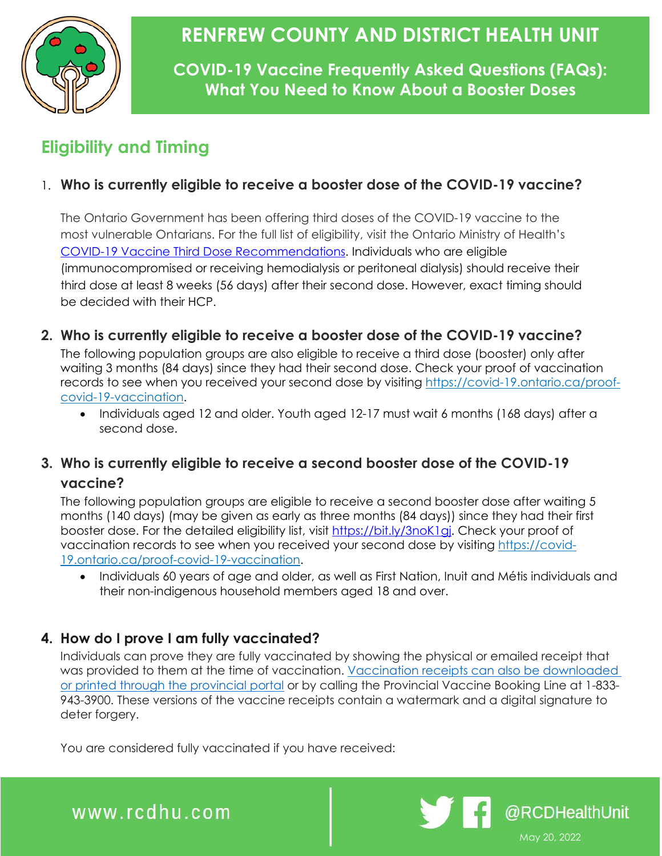

# **RENFREW COUNTY AND DISTRICT HEALTH UNIT**

**COVID-19 Vaccine Frequently Asked Questions (FAQs): What You Need to Know About a Booster Doses**

## **Eligibility and Timing**

### 1. **Who is currently eligible to receive a booster dose of the COVID-19 vaccine?**

The Ontario Government has been offering third doses of the COVID-19 vaccine to the most vulnerable Ontarians. For the full list of eligibility, visit the Ontario Ministry of Health's COVID-19 Vaccine Third Dose Recommendations. Individuals who are eligible (immunocompromised or receiving hemodialysis or peritoneal dialysis) should receive their third dose at least 8 weeks (56 days) after their second dose. However, exact timing should be decided with their HCP.

#### **2. Who is currently eligible to receive a booster dose of the COVID-19 vaccine?**

The following population groups are also eligible to receive a third dose (booster) only after waiting 3 months (84 days) since they had their second dose. Check your proof of vaccination records to see when you received your second dose by visiting https://covid-19.ontario.ca/proofcovid-19-vaccination.

• Individuals aged 12 and older. Youth aged 12-17 must wait 6 months (168 days) after a second dose.

### **3. Who is currently eligible to receive a second booster dose of the COVID-19 vaccine?**

The following population groups are eligible to receive a second booster dose after waiting 5 months (140 days) (may be given as early as three months (84 days)) since they had their first booster dose. For the detailed eligibility list, visit https://bit.ly/3noK1gj. Check your proof of vaccination records to see when you received your second dose by visiting https://covid-19.ontario.ca/proof-covid-19-vaccination.

• Individuals 60 years of age and older, as well as First Nation, Inuit and Métis individuals and their non-indigenous household members aged 18 and over.

#### **4. How do I prove I am fully vaccinated?**

Individuals can prove they are fully vaccinated by showing the physical or emailed receipt that was provided to them at the time of vaccination. Vaccination receipts can also be downloaded or printed through the provincial portal or by calling the Provincial Vaccine Booking Line at 1-833- 943-3900. These versions of the vaccine receipts contain a watermark and a digital signature to deter forgery.

You are considered fully vaccinated if you have received:



www.rcdhu.com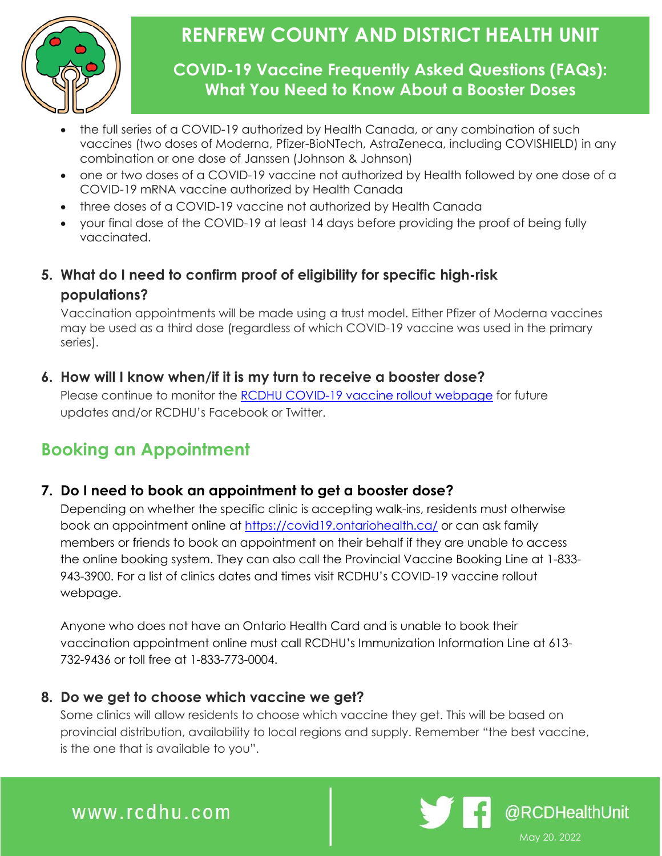

# **RENFREW COUNTY AND DISTRICT HEALTH UNIT**

## **COVID-19 Vaccine Frequently Asked Questions (FAQs): What You Need to Know About a Booster Doses**

- the full series of a COVID-19 authorized by Health Canada, or any combination of such vaccines (two doses of Moderna, Pfizer-BioNTech, AstraZeneca, including COVISHIELD) in any combination or one dose of Janssen (Johnson & Johnson)
- one or two doses of a COVID-19 vaccine not authorized by Health followed by one dose of a COVID-19 mRNA vaccine authorized by Health Canada
- three doses of a COVID-19 vaccine not authorized by Health Canada
- your final dose of the COVID-19 at least 14 days before providing the proof of being fully vaccinated.

### **5. What do I need to confirm proof of eligibility for specific high-risk populations?**

Vaccination appointments will be made using a trust model. Either Pfizer of Moderna vaccines may be used as a third dose (regardless of which COVID-19 vaccine was used in the primary series).

**6. How will I know when/if it is my turn to receive a booster dose?**

Please continue to monitor the [RCDHU COVID-19 vaccine rollout webpage](https://www.rcdhu.com/novel-coronavirus-covid-19-vaccine-rollout/) for future updates and/or RCDHU's Facebook or Twitter.

# **Booking an Appointment**

### **7. Do I need to book an appointment to get a booster dose?**

Depending on whether the specific clinic is accepting walk-ins, residents must otherwise book an appointment online at<https://covid19.ontariohealth.ca/> or can ask family members or friends to book an appointment on their behalf if they are unable to access the online booking system. They can also call the Provincial Vaccine Booking Line at 1-833- 943-3900. For a list of clinics dates and times visit RCDHU's COVID-19 vaccine rollout webpage.

Anyone who does not have an Ontario Health Card and is unable to book their vaccination appointment online must call RCDHU's Immunization Information Line at 613- 732-9436 or toll free at 1-833-773-0004.

### **8. Do we get to choose which vaccine we get?**

Some clinics will allow residents to choose which vaccine they get. This will be based on provincial distribution, availability to local regions and supply. Remember "the best vaccine, is the one that is available to you".